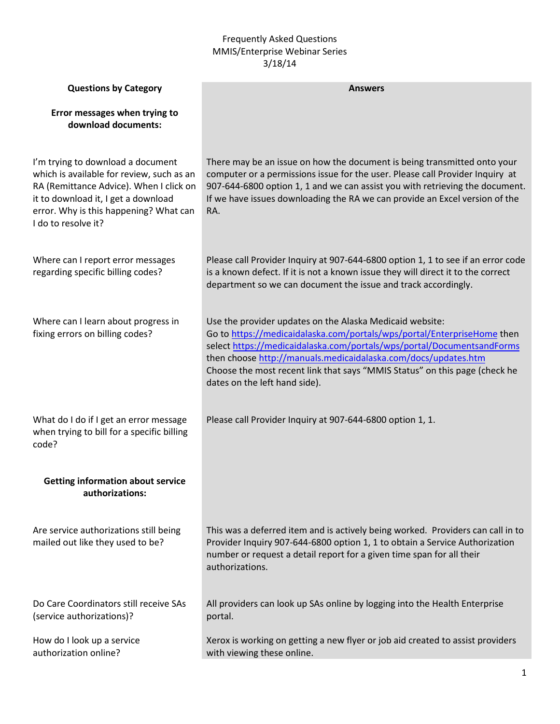## Frequently Asked Questions MMIS/Enterprise Webinar Series 3/18/14

| <b>Questions by Category</b>                                                                                                                                                                                                      | <b>Answers</b>                                                                                                                                                                                                                                                                                                                                                                                 |
|-----------------------------------------------------------------------------------------------------------------------------------------------------------------------------------------------------------------------------------|------------------------------------------------------------------------------------------------------------------------------------------------------------------------------------------------------------------------------------------------------------------------------------------------------------------------------------------------------------------------------------------------|
| Error messages when trying to<br>download documents:                                                                                                                                                                              |                                                                                                                                                                                                                                                                                                                                                                                                |
| I'm trying to download a document<br>which is available for review, such as an<br>RA (Remittance Advice). When I click on<br>it to download it, I get a download<br>error. Why is this happening? What can<br>I do to resolve it? | There may be an issue on how the document is being transmitted onto your<br>computer or a permissions issue for the user. Please call Provider Inquiry at<br>907-644-6800 option 1, 1 and we can assist you with retrieving the document.<br>If we have issues downloading the RA we can provide an Excel version of the<br>RA.                                                                |
| Where can I report error messages<br>regarding specific billing codes?                                                                                                                                                            | Please call Provider Inquiry at 907-644-6800 option 1, 1 to see if an error code<br>is a known defect. If it is not a known issue they will direct it to the correct<br>department so we can document the issue and track accordingly.                                                                                                                                                         |
| Where can I learn about progress in<br>fixing errors on billing codes?                                                                                                                                                            | Use the provider updates on the Alaska Medicaid website:<br>Go to https://medicaidalaska.com/portals/wps/portal/EnterpriseHome then<br>select https://medicaidalaska.com/portals/wps/portal/DocumentsandForms<br>then choose http://manuals.medicaidalaska.com/docs/updates.htm<br>Choose the most recent link that says "MMIS Status" on this page (check he<br>dates on the left hand side). |
| What do I do if I get an error message<br>when trying to bill for a specific billing<br>code?                                                                                                                                     | Please call Provider Inquiry at 907-644-6800 option 1, 1.                                                                                                                                                                                                                                                                                                                                      |
| <b>Getting information about service</b><br>authorizations:                                                                                                                                                                       |                                                                                                                                                                                                                                                                                                                                                                                                |
| Are service authorizations still being<br>mailed out like they used to be?                                                                                                                                                        | This was a deferred item and is actively being worked. Providers can call in to<br>Provider Inquiry 907-644-6800 option 1, 1 to obtain a Service Authorization<br>number or request a detail report for a given time span for all their<br>authorizations.                                                                                                                                     |
| Do Care Coordinators still receive SAs<br>(service authorizations)?                                                                                                                                                               | All providers can look up SAs online by logging into the Health Enterprise<br>portal.                                                                                                                                                                                                                                                                                                          |
| How do I look up a service<br>authorization online?                                                                                                                                                                               | Xerox is working on getting a new flyer or job aid created to assist providers<br>with viewing these online.                                                                                                                                                                                                                                                                                   |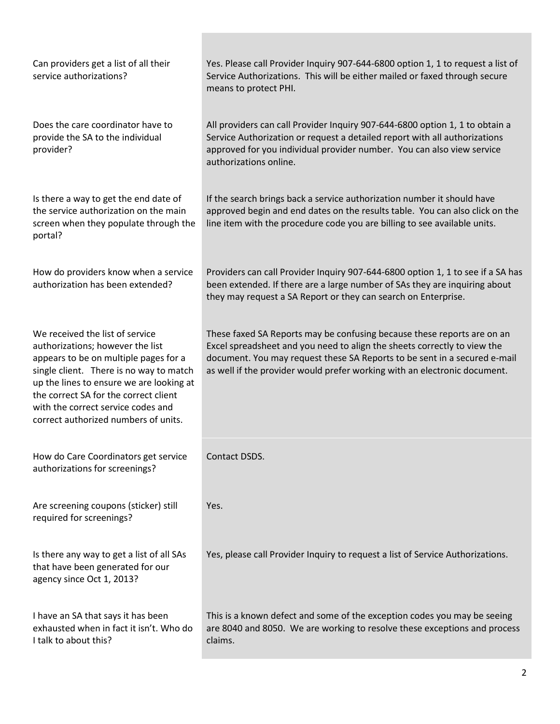| Can providers get a list of all their<br>service authorizations?                                                                                                                                                                                                                                                           | Yes. Please call Provider Inquiry 907-644-6800 option 1, 1 to request a list of<br>Service Authorizations. This will be either mailed or faxed through secure<br>means to protect PHI.                                                                                                                        |
|----------------------------------------------------------------------------------------------------------------------------------------------------------------------------------------------------------------------------------------------------------------------------------------------------------------------------|---------------------------------------------------------------------------------------------------------------------------------------------------------------------------------------------------------------------------------------------------------------------------------------------------------------|
| Does the care coordinator have to<br>provide the SA to the individual<br>provider?                                                                                                                                                                                                                                         | All providers can call Provider Inquiry 907-644-6800 option 1, 1 to obtain a<br>Service Authorization or request a detailed report with all authorizations<br>approved for you individual provider number. You can also view service<br>authorizations online.                                                |
| Is there a way to get the end date of<br>the service authorization on the main<br>screen when they populate through the<br>portal?                                                                                                                                                                                         | If the search brings back a service authorization number it should have<br>approved begin and end dates on the results table. You can also click on the<br>line item with the procedure code you are billing to see available units.                                                                          |
| How do providers know when a service<br>authorization has been extended?                                                                                                                                                                                                                                                   | Providers can call Provider Inquiry 907-644-6800 option 1, 1 to see if a SA has<br>been extended. If there are a large number of SAs they are inquiring about<br>they may request a SA Report or they can search on Enterprise.                                                                               |
| We received the list of service<br>authorizations; however the list<br>appears to be on multiple pages for a<br>single client. There is no way to match<br>up the lines to ensure we are looking at<br>the correct SA for the correct client<br>with the correct service codes and<br>correct authorized numbers of units. | These faxed SA Reports may be confusing because these reports are on an<br>Excel spreadsheet and you need to align the sheets correctly to view the<br>document. You may request these SA Reports to be sent in a secured e-mail<br>as well if the provider would prefer working with an electronic document. |
| How do Care Coordinators get service<br>authorizations for screenings?                                                                                                                                                                                                                                                     | Contact DSDS.                                                                                                                                                                                                                                                                                                 |
| Are screening coupons (sticker) still<br>required for screenings?                                                                                                                                                                                                                                                          | Yes.                                                                                                                                                                                                                                                                                                          |
| Is there any way to get a list of all SAs<br>that have been generated for our<br>agency since Oct 1, 2013?                                                                                                                                                                                                                 | Yes, please call Provider Inquiry to request a list of Service Authorizations.                                                                                                                                                                                                                                |
| I have an SA that says it has been<br>exhausted when in fact it isn't. Who do<br>I talk to about this?                                                                                                                                                                                                                     | This is a known defect and some of the exception codes you may be seeing<br>are 8040 and 8050. We are working to resolve these exceptions and process<br>claims.                                                                                                                                              |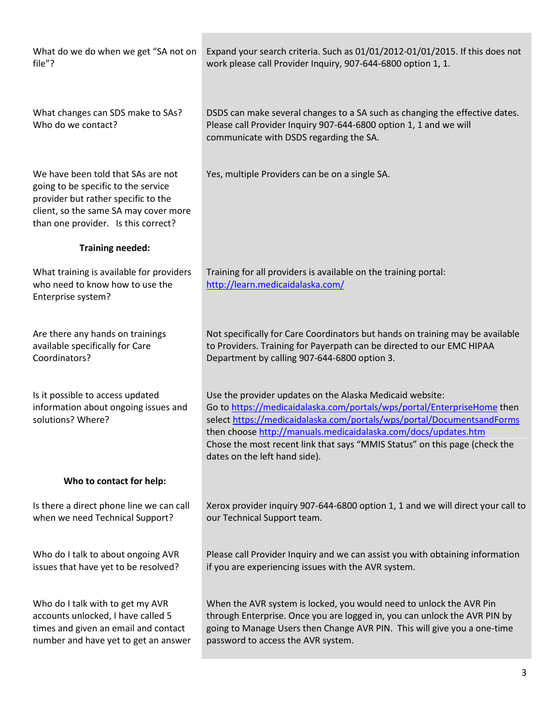| What do we do when we get "SA not on<br>file"?                                                                                                                                                   | Expand your search criteria. Such as 01/01/2012-01/01/2015. If this does not<br>work please call Provider Inquiry, 907-644-6800 option 1, 1.                                                                                                                                                                                                                                                   |
|--------------------------------------------------------------------------------------------------------------------------------------------------------------------------------------------------|------------------------------------------------------------------------------------------------------------------------------------------------------------------------------------------------------------------------------------------------------------------------------------------------------------------------------------------------------------------------------------------------|
| What changes can SDS make to SAs?<br>Who do we contact?                                                                                                                                          | DSDS can make several changes to a SA such as changing the effective dates.<br>Please call Provider Inquiry 907-644-6800 option 1, 1 and we will<br>communicate with DSDS regarding the SA.                                                                                                                                                                                                    |
| We have been told that SAs are not<br>going to be specific to the service<br>provider but rather specific to the<br>client, so the same SA may cover more<br>than one provider. Is this correct? | Yes, multiple Providers can be on a single SA.                                                                                                                                                                                                                                                                                                                                                 |
| <b>Training needed:</b>                                                                                                                                                                          |                                                                                                                                                                                                                                                                                                                                                                                                |
| What training is available for providers<br>who need to know how to use the<br>Enterprise system?                                                                                                | Training for all providers is available on the training portal:<br>http://learn.medicaidalaska.com/                                                                                                                                                                                                                                                                                            |
| Are there any hands on trainings<br>available specifically for Care<br>Coordinators?                                                                                                             | Not specifically for Care Coordinators but hands on training may be available<br>to Providers. Training for Payerpath can be directed to our EMC HIPAA<br>Department by calling 907-644-6800 option 3.                                                                                                                                                                                         |
| Is it possible to access updated<br>information about ongoing issues and<br>solutions? Where?                                                                                                    | Use the provider updates on the Alaska Medicaid website:<br>Go to https://medicaidalaska.com/portals/wps/portal/EnterpriseHome then<br>select https://medicaidalaska.com/portals/wps/portal/DocumentsandForms<br>then choose http://manuals.medicaidalaska.com/docs/updates.htm<br>Chose the most recent link that says "MMIS Status" on this page (check the<br>dates on the left hand side). |
| Who to contact for help:                                                                                                                                                                         |                                                                                                                                                                                                                                                                                                                                                                                                |
| Is there a direct phone line we can call<br>when we need Technical Support?                                                                                                                      | Xerox provider inquiry 907-644-6800 option 1, 1 and we will direct your call to<br>our Technical Support team.                                                                                                                                                                                                                                                                                 |
| Who do I talk to about ongoing AVR<br>issues that have yet to be resolved?                                                                                                                       | Please call Provider Inquiry and we can assist you with obtaining information<br>if you are experiencing issues with the AVR system.                                                                                                                                                                                                                                                           |
| Who do I talk with to get my AVR<br>accounts unlocked, I have called 5<br>times and given an email and contact<br>number and have yet to get an answer                                           | When the AVR system is locked, you would need to unlock the AVR Pin<br>through Enterprise. Once you are logged in, you can unlock the AVR PIN by<br>going to Manage Users then Change AVR PIN. This will give you a one-time<br>password to access the AVR system.                                                                                                                             |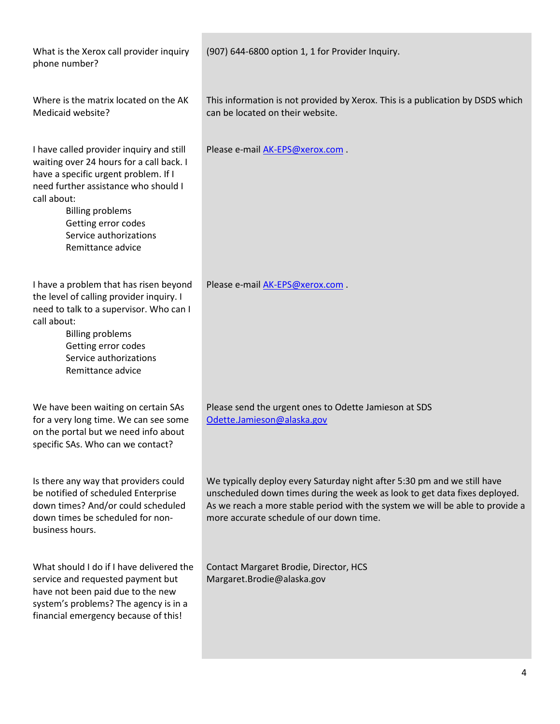| What is the Xerox call provider inquiry<br>phone number?                                                                                                                                                                                                                             | (907) 644-6800 option 1, 1 for Provider Inquiry.                                                                                                                                                                                                                                    |
|--------------------------------------------------------------------------------------------------------------------------------------------------------------------------------------------------------------------------------------------------------------------------------------|-------------------------------------------------------------------------------------------------------------------------------------------------------------------------------------------------------------------------------------------------------------------------------------|
| Where is the matrix located on the AK<br>Medicaid website?                                                                                                                                                                                                                           | This information is not provided by Xerox. This is a publication by DSDS which<br>can be located on their website.                                                                                                                                                                  |
| I have called provider inquiry and still<br>waiting over 24 hours for a call back. I<br>have a specific urgent problem. If I<br>need further assistance who should I<br>call about:<br><b>Billing problems</b><br>Getting error codes<br>Service authorizations<br>Remittance advice | Please e-mail AK-EPS@xerox.com.                                                                                                                                                                                                                                                     |
| I have a problem that has risen beyond<br>the level of calling provider inquiry. I<br>need to talk to a supervisor. Who can I<br>call about:<br><b>Billing problems</b><br>Getting error codes<br>Service authorizations<br>Remittance advice                                        | Please e-mail AK-EPS@xerox.com                                                                                                                                                                                                                                                      |
| We have been waiting on certain SAs<br>for a very long time. We can see some<br>on the portal but we need info about<br>specific SAs. Who can we contact?                                                                                                                            | Please send the urgent ones to Odette Jamieson at SDS<br>Odette.Jamieson@alaska.gov                                                                                                                                                                                                 |
| Is there any way that providers could<br>be notified of scheduled Enterprise<br>down times? And/or could scheduled<br>down times be scheduled for non-<br>business hours.                                                                                                            | We typically deploy every Saturday night after 5:30 pm and we still have<br>unscheduled down times during the week as look to get data fixes deployed.<br>As we reach a more stable period with the system we will be able to provide a<br>more accurate schedule of our down time. |
| What should I do if I have delivered the<br>service and requested payment but<br>have not been paid due to the new<br>system's problems? The agency is in a<br>financial emergency because of this!                                                                                  | Contact Margaret Brodie, Director, HCS<br>Margaret.Brodie@alaska.gov                                                                                                                                                                                                                |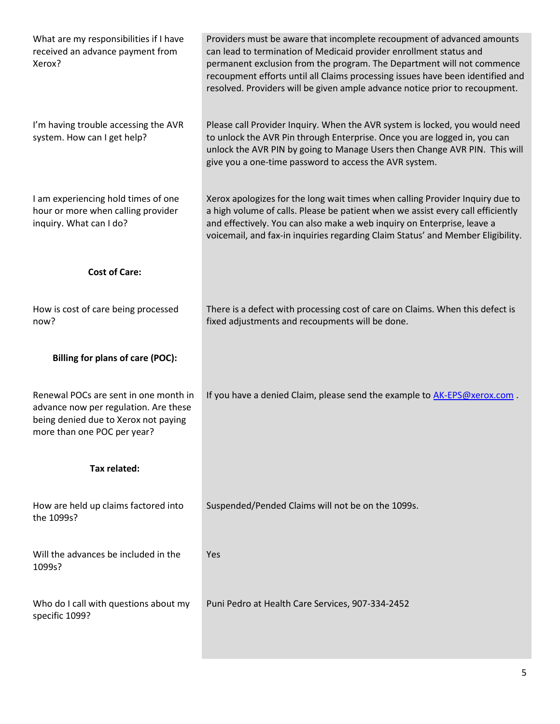| What are my responsibilities if I have<br>received an advance payment from<br>Xerox?                                                                  | Providers must be aware that incomplete recoupment of advanced amounts<br>can lead to termination of Medicaid provider enrollment status and<br>permanent exclusion from the program. The Department will not commence<br>recoupment efforts until all Claims processing issues have been identified and<br>resolved. Providers will be given ample advance notice prior to recoupment. |
|-------------------------------------------------------------------------------------------------------------------------------------------------------|-----------------------------------------------------------------------------------------------------------------------------------------------------------------------------------------------------------------------------------------------------------------------------------------------------------------------------------------------------------------------------------------|
| I'm having trouble accessing the AVR<br>system. How can I get help?                                                                                   | Please call Provider Inquiry. When the AVR system is locked, you would need<br>to unlock the AVR Pin through Enterprise. Once you are logged in, you can<br>unlock the AVR PIN by going to Manage Users then Change AVR PIN. This will<br>give you a one-time password to access the AVR system.                                                                                        |
| I am experiencing hold times of one<br>hour or more when calling provider<br>inquiry. What can I do?                                                  | Xerox apologizes for the long wait times when calling Provider Inquiry due to<br>a high volume of calls. Please be patient when we assist every call efficiently<br>and effectively. You can also make a web inquiry on Enterprise, leave a<br>voicemail, and fax-in inquiries regarding Claim Status' and Member Eligibility.                                                          |
| <b>Cost of Care:</b>                                                                                                                                  |                                                                                                                                                                                                                                                                                                                                                                                         |
| How is cost of care being processed<br>now?                                                                                                           | There is a defect with processing cost of care on Claims. When this defect is<br>fixed adjustments and recoupments will be done.                                                                                                                                                                                                                                                        |
| <b>Billing for plans of care (POC):</b>                                                                                                               |                                                                                                                                                                                                                                                                                                                                                                                         |
| Renewal POCs are sent in one month in<br>advance now per regulation. Are these<br>being denied due to Xerox not paying<br>more than one POC per year? | If you have a denied Claim, please send the example to AK-EPS@xerox.com.                                                                                                                                                                                                                                                                                                                |
| Tax related:                                                                                                                                          |                                                                                                                                                                                                                                                                                                                                                                                         |
| How are held up claims factored into<br>the 1099s?                                                                                                    | Suspended/Pended Claims will not be on the 1099s.                                                                                                                                                                                                                                                                                                                                       |
| Will the advances be included in the<br>1099s?                                                                                                        | Yes                                                                                                                                                                                                                                                                                                                                                                                     |
| Who do I call with questions about my<br>specific 1099?                                                                                               | Puni Pedro at Health Care Services, 907-334-2452                                                                                                                                                                                                                                                                                                                                        |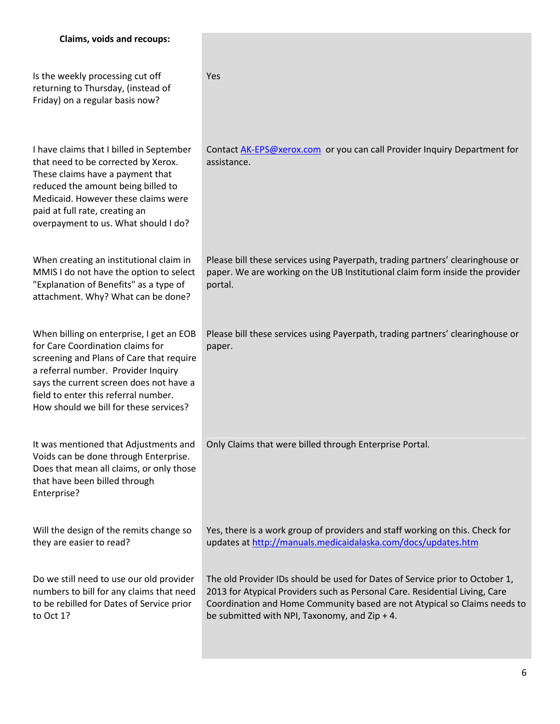| <b>Claims, voids and recoups:</b>                                                                                                                                                                                                                                                            |                                                                                                                                                                                                                                                                                           |
|----------------------------------------------------------------------------------------------------------------------------------------------------------------------------------------------------------------------------------------------------------------------------------------------|-------------------------------------------------------------------------------------------------------------------------------------------------------------------------------------------------------------------------------------------------------------------------------------------|
| Is the weekly processing cut off<br>returning to Thursday, (instead of<br>Friday) on a regular basis now?                                                                                                                                                                                    | Yes                                                                                                                                                                                                                                                                                       |
| I have claims that I billed in September<br>that need to be corrected by Xerox.<br>These claims have a payment that<br>reduced the amount being billed to<br>Medicaid. However these claims were<br>paid at full rate, creating an<br>overpayment to us. What should I do?                   | Contact AK-EPS@xerox.com or you can call Provider Inquiry Department for<br>assistance.                                                                                                                                                                                                   |
| When creating an institutional claim in<br>MMIS I do not have the option to select<br>"Explanation of Benefits" as a type of<br>attachment. Why? What can be done?                                                                                                                           | Please bill these services using Payerpath, trading partners' clearinghouse or<br>paper. We are working on the UB Institutional claim form inside the provider<br>portal.                                                                                                                 |
| When billing on enterprise, I get an EOB<br>for Care Coordination claims for<br>screening and Plans of Care that require<br>a referral number. Provider Inquiry<br>says the current screen does not have a<br>field to enter this referral number.<br>How should we bill for these services? | Please bill these services using Payerpath, trading partners' clearinghouse or<br>paper.                                                                                                                                                                                                  |
| It was mentioned that Adjustments and<br>Voids can be done through Enterprise.<br>Does that mean all claims, or only those<br>that have been billed through<br>Enterprise?                                                                                                                   | Only Claims that were billed through Enterprise Portal.                                                                                                                                                                                                                                   |
| Will the design of the remits change so<br>they are easier to read?                                                                                                                                                                                                                          | Yes, there is a work group of providers and staff working on this. Check for<br>updates at http://manuals.medicaidalaska.com/docs/updates.htm                                                                                                                                             |
| Do we still need to use our old provider<br>numbers to bill for any claims that need<br>to be rebilled for Dates of Service prior<br>to Oct 1?                                                                                                                                               | The old Provider IDs should be used for Dates of Service prior to October 1,<br>2013 for Atypical Providers such as Personal Care. Residential Living, Care<br>Coordination and Home Community based are not Atypical so Claims needs to<br>be submitted with NPI, Taxonomy, and Zip + 4. |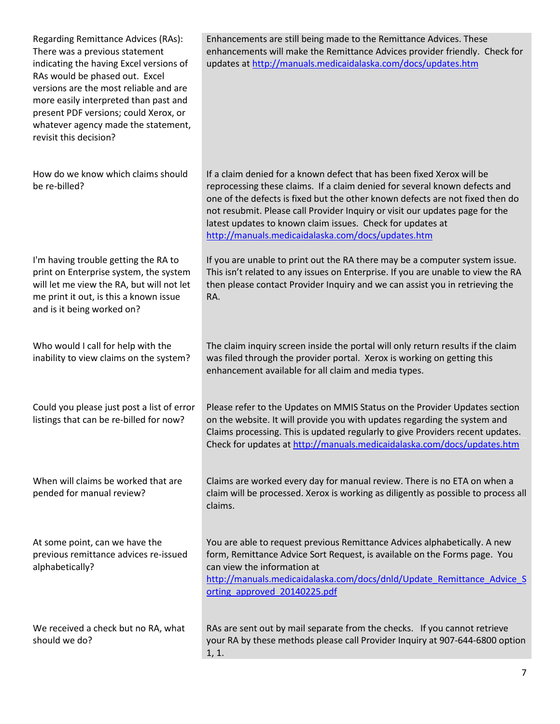| Regarding Remittance Advices (RAs):<br>There was a previous statement<br>indicating the having Excel versions of<br>RAs would be phased out. Excel<br>versions are the most reliable and are<br>more easily interpreted than past and<br>present PDF versions; could Xerox, or<br>whatever agency made the statement,<br>revisit this decision? | Enhancements are still being made to the Remittance Advices. These<br>enhancements will make the Remittance Advices provider friendly. Check for<br>updates at http://manuals.medicaidalaska.com/docs/updates.htm                                                                                                                                                                                                                         |
|-------------------------------------------------------------------------------------------------------------------------------------------------------------------------------------------------------------------------------------------------------------------------------------------------------------------------------------------------|-------------------------------------------------------------------------------------------------------------------------------------------------------------------------------------------------------------------------------------------------------------------------------------------------------------------------------------------------------------------------------------------------------------------------------------------|
| How do we know which claims should<br>be re-billed?                                                                                                                                                                                                                                                                                             | If a claim denied for a known defect that has been fixed Xerox will be<br>reprocessing these claims. If a claim denied for several known defects and<br>one of the defects is fixed but the other known defects are not fixed then do<br>not resubmit. Please call Provider Inquiry or visit our updates page for the<br>latest updates to known claim issues. Check for updates at<br>http://manuals.medicaidalaska.com/docs/updates.htm |
| I'm having trouble getting the RA to<br>print on Enterprise system, the system<br>will let me view the RA, but will not let<br>me print it out, is this a known issue<br>and is it being worked on?                                                                                                                                             | If you are unable to print out the RA there may be a computer system issue.<br>This isn't related to any issues on Enterprise. If you are unable to view the RA<br>then please contact Provider Inquiry and we can assist you in retrieving the<br>RA.                                                                                                                                                                                    |
| Who would I call for help with the<br>inability to view claims on the system?                                                                                                                                                                                                                                                                   | The claim inquiry screen inside the portal will only return results if the claim<br>was filed through the provider portal. Xerox is working on getting this<br>enhancement available for all claim and media types.                                                                                                                                                                                                                       |
| Could you please just post a list of error<br>listings that can be re-billed for now?                                                                                                                                                                                                                                                           | Please refer to the Updates on MMIS Status on the Provider Updates section<br>on the website. It will provide you with updates regarding the system and<br>Claims processing. This is updated regularly to give Providers recent updates.<br>Check for updates at http://manuals.medicaidalaska.com/docs/updates.htm                                                                                                                      |
| When will claims be worked that are<br>pended for manual review?                                                                                                                                                                                                                                                                                | Claims are worked every day for manual review. There is no ETA on when a<br>claim will be processed. Xerox is working as diligently as possible to process all<br>claims.                                                                                                                                                                                                                                                                 |
| At some point, can we have the<br>previous remittance advices re-issued<br>alphabetically?                                                                                                                                                                                                                                                      | You are able to request previous Remittance Advices alphabetically. A new<br>form, Remittance Advice Sort Request, is available on the Forms page. You<br>can view the information at<br>http://manuals.medicaidalaska.com/docs/dnld/Update Remittance Advice S<br>orting approved 20140225.pdf                                                                                                                                           |
| We received a check but no RA, what<br>should we do?                                                                                                                                                                                                                                                                                            | RAs are sent out by mail separate from the checks. If you cannot retrieve<br>your RA by these methods please call Provider Inquiry at 907-644-6800 option<br>1, 1.                                                                                                                                                                                                                                                                        |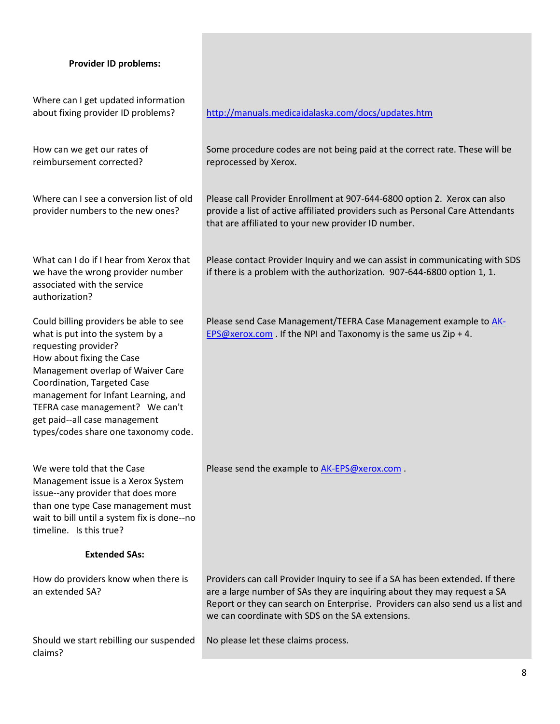## **Provider ID problems:**

| Where can I get updated information<br>about fixing provider ID problems?                                                                                                                                                                                                                                                                              | http://manuals.medicaidalaska.com/docs/updates.htm                                                                                                                                                                                                                                               |
|--------------------------------------------------------------------------------------------------------------------------------------------------------------------------------------------------------------------------------------------------------------------------------------------------------------------------------------------------------|--------------------------------------------------------------------------------------------------------------------------------------------------------------------------------------------------------------------------------------------------------------------------------------------------|
| How can we get our rates of<br>reimbursement corrected?                                                                                                                                                                                                                                                                                                | Some procedure codes are not being paid at the correct rate. These will be<br>reprocessed by Xerox.                                                                                                                                                                                              |
| Where can I see a conversion list of old<br>provider numbers to the new ones?                                                                                                                                                                                                                                                                          | Please call Provider Enrollment at 907-644-6800 option 2. Xerox can also<br>provide a list of active affiliated providers such as Personal Care Attendants<br>that are affiliated to your new provider ID number.                                                                                |
| What can I do if I hear from Xerox that<br>we have the wrong provider number<br>associated with the service<br>authorization?                                                                                                                                                                                                                          | Please contact Provider Inquiry and we can assist in communicating with SDS<br>if there is a problem with the authorization. 907-644-6800 option 1, 1.                                                                                                                                           |
| Could billing providers be able to see<br>what is put into the system by a<br>requesting provider?<br>How about fixing the Case<br>Management overlap of Waiver Care<br>Coordination, Targeted Case<br>management for Infant Learning, and<br>TEFRA case management? We can't<br>get paid--all case management<br>types/codes share one taxonomy code. | Please send Case Management/TEFRA Case Management example to AK-<br><b>EPS@xerox.com</b> . If the NPI and Taxonomy is the same us Zip + 4.                                                                                                                                                       |
| We were told that the Case<br>Management issue is a Xerox System<br>issue--any provider that does more<br>than one type Case management must<br>wait to bill until a system fix is done--no<br>timeline. Is this true?                                                                                                                                 | Please send the example to AK-EPS@xerox.com.                                                                                                                                                                                                                                                     |
| <b>Extended SAs:</b>                                                                                                                                                                                                                                                                                                                                   |                                                                                                                                                                                                                                                                                                  |
| How do providers know when there is<br>an extended SA?                                                                                                                                                                                                                                                                                                 | Providers can call Provider Inquiry to see if a SA has been extended. If there<br>are a large number of SAs they are inquiring about they may request a SA<br>Report or they can search on Enterprise. Providers can also send us a list and<br>we can coordinate with SDS on the SA extensions. |
| Should we start rebilling our suspended<br>claims?                                                                                                                                                                                                                                                                                                     | No please let these claims process.                                                                                                                                                                                                                                                              |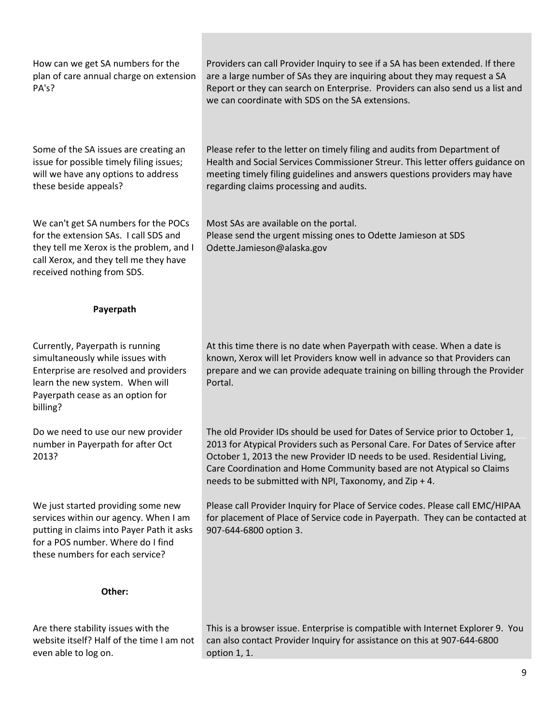| How can we get SA numbers for the<br>plan of care annual charge on extension<br>PA's?                                                                                                             | Providers can call Provider Inquiry to see if a SA has been extended. If there<br>are a large number of SAs they are inquiring about they may request a SA<br>Report or they can search on Enterprise. Providers can also send us a list and<br>we can coordinate with SDS on the SA extensions.                                                                                |
|---------------------------------------------------------------------------------------------------------------------------------------------------------------------------------------------------|---------------------------------------------------------------------------------------------------------------------------------------------------------------------------------------------------------------------------------------------------------------------------------------------------------------------------------------------------------------------------------|
| Some of the SA issues are creating an<br>issue for possible timely filing issues;<br>will we have any options to address<br>these beside appeals?                                                 | Please refer to the letter on timely filing and audits from Department of<br>Health and Social Services Commissioner Streur. This letter offers guidance on<br>meeting timely filing guidelines and answers questions providers may have<br>regarding claims processing and audits.                                                                                             |
| We can't get SA numbers for the POCs<br>for the extension SAs. I call SDS and<br>they tell me Xerox is the problem, and I<br>call Xerox, and they tell me they have<br>received nothing from SDS. | Most SAs are available on the portal.<br>Please send the urgent missing ones to Odette Jamieson at SDS<br>Odette.Jamieson@alaska.gov                                                                                                                                                                                                                                            |
| Payerpath                                                                                                                                                                                         |                                                                                                                                                                                                                                                                                                                                                                                 |
| Currently, Payerpath is running<br>simultaneously while issues with<br>Enterprise are resolved and providers<br>learn the new system. When will<br>Payerpath cease as an option for<br>billing?   | At this time there is no date when Payerpath with cease. When a date is<br>known, Xerox will let Providers know well in advance so that Providers can<br>prepare and we can provide adequate training on billing through the Provider<br>Portal.                                                                                                                                |
| Do we need to use our new provider<br>number in Payerpath for after Oct<br>2013?                                                                                                                  | The old Provider IDs should be used for Dates of Service prior to October 1,<br>2013 for Atypical Providers such as Personal Care. For Dates of Service after<br>October 1, 2013 the new Provider ID needs to be used. Residential Living,<br>Care Coordination and Home Community based are not Atypical so Claims<br>needs to be submitted with NPI, Taxonomy, and Zip $+$ 4. |
| We just started providing some new<br>services within our agency. When I am<br>putting in claims into Payer Path it asks<br>for a POS number. Where do I find<br>these numbers for each service?  | Please call Provider Inquiry for Place of Service codes. Please call EMC/HIPAA<br>for placement of Place of Service code in Payerpath. They can be contacted at<br>907-644-6800 option 3.                                                                                                                                                                                       |
| Other:                                                                                                                                                                                            |                                                                                                                                                                                                                                                                                                                                                                                 |
| Are there stability issues with the<br>website itself? Half of the time I am not<br>even able to log on.                                                                                          | This is a browser issue. Enterprise is compatible with Internet Explorer 9. You<br>can also contact Provider Inquiry for assistance on this at 907-644-6800<br>option 1, 1.                                                                                                                                                                                                     |